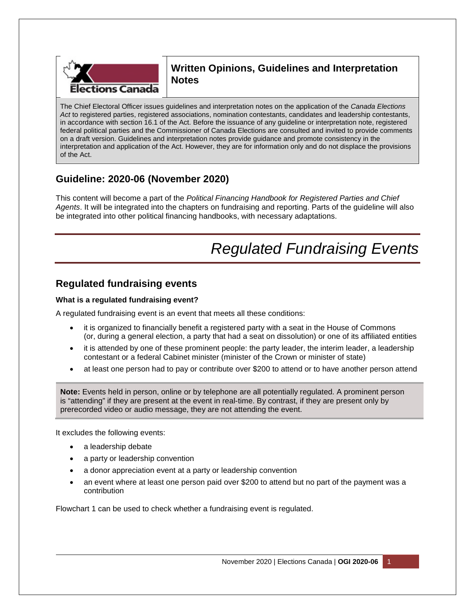

## **Written Opinions, Guidelines and Interpretation Notes**

The Chief Electoral Officer issues guidelines and interpretation notes on the application of the *Canada Elections Act* to registered parties, registered associations, nomination contestants, candidates and leadership contestants, in accordance with section 16.1 of the Act. Before the issuance of any guideline or interpretation note, registered federal political parties and the Commissioner of Canada Elections are consulted and invited to provide comments on a draft version. Guidelines and interpretation notes provide guidance and promote consistency in the interpretation and application of the Act. However, they are for information only and do not displace the provisions of the Act.

## **Guideline: 2020-06 (November 2020)**

This content will become a part of the *Political Financing Handbook for Registered Parties and Chief Agents*. It will be integrated into the chapters on fundraising and reporting. Parts of the guideline will also be integrated into other political financing handbooks, with necessary adaptations.

# *Regulated Fundraising Events*

## **Regulated fundraising events**

### **What is a regulated fundraising event?**

A regulated fundraising event is an event that meets all these conditions:

- it is organized to financially benefit a registered party with a seat in the House of Commons (or, during a general election, a party that had a seat on dissolution) or one of its affiliated entities
- it is attended by one of these prominent people: the party leader, the interim leader, a leadership contestant or a federal Cabinet minister (minister of the Crown or minister of state)
- at least one person had to pay or contribute over \$200 to attend or to have another person attend

**Note:** Events held in person, online or by telephone are all potentially regulated. A prominent person is "attending" if they are present at the event in real-time. By contrast, if they are present only by prerecorded video or audio message, they are not attending the event.

It excludes the following events:

- a leadership debate
- a party or leadership convention
- a donor appreciation event at a party or leadership convention
- an event where at least one person paid over \$200 to attend but no part of the payment was a contribution

Flowchart 1 can be used to check whether a fundraising event is regulated.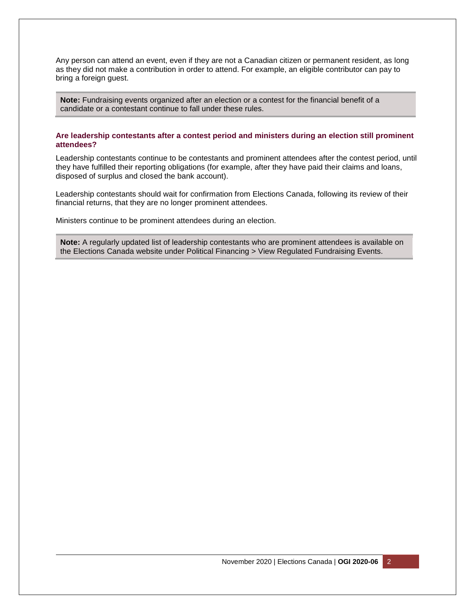Any person can attend an event, even if they are not a Canadian citizen or permanent resident, as long as they did not make a contribution in order to attend. For example, an eligible contributor can pay to bring a foreign guest.

**Note:** Fundraising events organized after an election or a contest for the financial benefit of a candidate or a contestant continue to fall under these rules.

#### **Are leadership contestants after a contest period and ministers during an election still prominent attendees?**

Leadership contestants continue to be contestants and prominent attendees after the contest period, until they have fulfilled their reporting obligations (for example, after they have paid their claims and loans, disposed of surplus and closed the bank account).

Leadership contestants should wait for confirmation from Elections Canada, following its review of their financial returns, that they are no longer prominent attendees.

Ministers continue to be prominent attendees during an election.

**Note:** A regularly updated list of leadership contestants who are prominent attendees is available on the Elections Canada website under Political Financing > View Regulated Fundraising Events.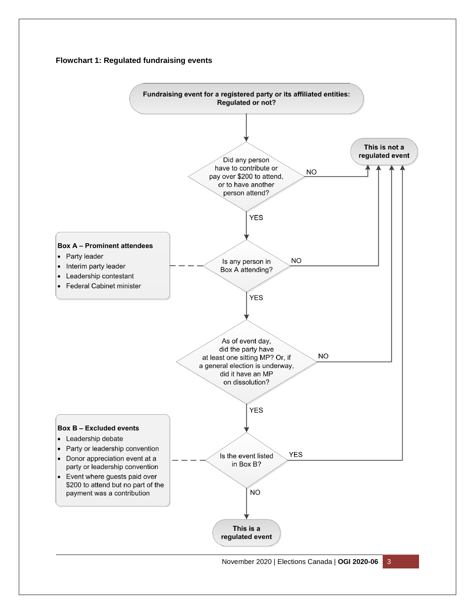#### **Flowchart 1: Regulated fundraising events**

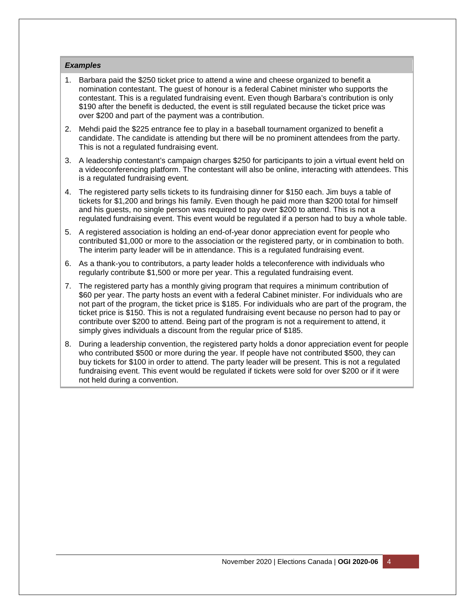#### *Examples*

- 1. Barbara paid the \$250 ticket price to attend a wine and cheese organized to benefit a nomination contestant. The guest of honour is a federal Cabinet minister who supports the contestant. This is a regulated fundraising event. Even though Barbara's contribution is only \$190 after the benefit is deducted, the event is still regulated because the ticket price was over \$200 and part of the payment was a contribution.
- 2. Mehdi paid the \$225 entrance fee to play in a baseball tournament organized to benefit a candidate. The candidate is attending but there will be no prominent attendees from the party. This is not a regulated fundraising event.
- 3. A leadership contestant's campaign charges \$250 for participants to join a virtual event held on a videoconferencing platform. The contestant will also be online, interacting with attendees. This is a regulated fundraising event.
- 4. The registered party sells tickets to its fundraising dinner for \$150 each. Jim buys a table of tickets for \$1,200 and brings his family. Even though he paid more than \$200 total for himself and his guests, no single person was required to pay over \$200 to attend. This is not a regulated fundraising event. This event would be regulated if a person had to buy a whole table.
- 5. A registered association is holding an end-of-year donor appreciation event for people who contributed \$1,000 or more to the association or the registered party, or in combination to both. The interim party leader will be in attendance. This is a regulated fundraising event.
- 6. As a thank-you to contributors, a party leader holds a teleconference with individuals who regularly contribute \$1,500 or more per year. This a regulated fundraising event.
- 7. The registered party has a monthly giving program that requires a minimum contribution of \$60 per year. The party hosts an event with a federal Cabinet minister. For individuals who are not part of the program, the ticket price is \$185. For individuals who are part of the program, the ticket price is \$150. This is not a regulated fundraising event because no person had to pay or contribute over \$200 to attend. Being part of the program is not a requirement to attend, it simply gives individuals a discount from the regular price of \$185.
- 8. During a leadership convention, the registered party holds a donor appreciation event for people who contributed \$500 or more during the year. If people have not contributed \$500, they can buy tickets for \$100 in order to attend. The party leader will be present. This is not a regulated fundraising event. This event would be regulated if tickets were sold for over \$200 or if it were not held during a convention.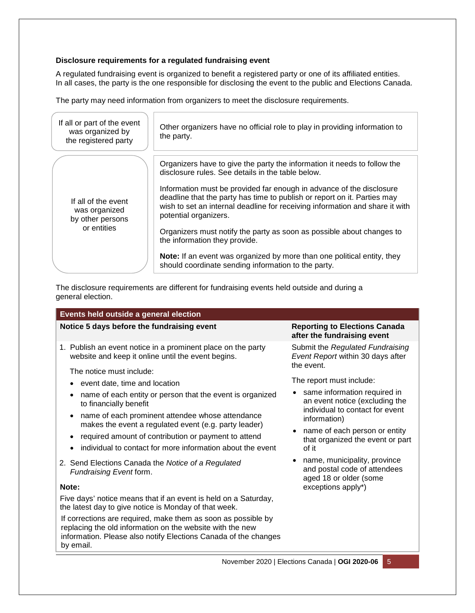#### **Disclosure requirements for a regulated fundraising event**

A regulated fundraising event is organized to benefit a registered party or one of its affiliated entities. In all cases, the party is the one responsible for disclosing the event to the public and Elections Canada.

The party may need information from organizers to meet the disclosure requirements.

| If all or part of the event<br>was organized by<br>the registered party | Other organizers have no official role to play in providing information to<br>the party.                                                                                                                                                                  |  |  |
|-------------------------------------------------------------------------|-----------------------------------------------------------------------------------------------------------------------------------------------------------------------------------------------------------------------------------------------------------|--|--|
| If all of the event<br>was organized<br>by other persons<br>or entities | Organizers have to give the party the information it needs to follow the<br>disclosure rules. See details in the table below.                                                                                                                             |  |  |
|                                                                         | Information must be provided far enough in advance of the disclosure<br>deadline that the party has time to publish or report on it. Parties may<br>wish to set an internal deadline for receiving information and share it with<br>potential organizers. |  |  |
|                                                                         | Organizers must notify the party as soon as possible about changes to<br>the information they provide.                                                                                                                                                    |  |  |
|                                                                         | <b>Note:</b> If an event was organized by more than one political entity, they<br>should coordinate sending information to the party.                                                                                                                     |  |  |

The disclosure requirements are different for fundraising events held outside and during a general election.

#### **Events held outside a general election Notice 5 days before the fundraising event <b>Reporting to Elections Canada Reporting to Elections Canada after the fundraising event**  1. Publish an event notice in a prominent place on the party website and keep it online until the event begins. The notice must include: event date, time and location name of each entity or person that the event is organized to financially benefit name of each prominent attendee whose attendance makes the event a regulated event (e.g. party leader) • required amount of contribution or payment to attend • individual to contact for more information about the event 2. Send Elections Canada the *Notice of a Regulated Fundraising Event* form. **Note:** Five days' notice means that if an event is held on a Saturday, Submit the *Regulated Fundraising Event Report* within 30 days after the event. The report must include: • same information required in an event notice (excluding the individual to contact for event information) • name of each person or entity that organized the event or part of it • name, municipality, province and postal code of attendees aged 18 or older (some exceptions apply\*)

the latest day to give notice is Monday of that week.

by email.

If corrections are required, make them as soon as possible by replacing the old information on the website with the new information. Please also notify Elections Canada of the changes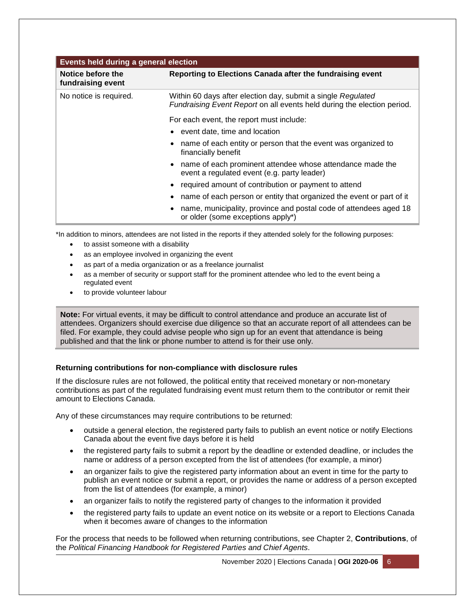| <b>Events held during a general election</b> |                                                                                                                                         |  |  |  |  |
|----------------------------------------------|-----------------------------------------------------------------------------------------------------------------------------------------|--|--|--|--|
| Notice before the<br>fundraising event       | Reporting to Elections Canada after the fundraising event                                                                               |  |  |  |  |
| No notice is required.                       | Within 60 days after election day, submit a single Regulated<br>Fundraising Event Report on all events held during the election period. |  |  |  |  |
|                                              | For each event, the report must include:                                                                                                |  |  |  |  |
|                                              | event date, time and location                                                                                                           |  |  |  |  |
|                                              | name of each entity or person that the event was organized to<br>financially benefit                                                    |  |  |  |  |
|                                              | name of each prominent attendee whose attendance made the<br>event a regulated event (e.g. party leader)                                |  |  |  |  |
|                                              | required amount of contribution or payment to attend                                                                                    |  |  |  |  |
|                                              | name of each person or entity that organized the event or part of it                                                                    |  |  |  |  |
|                                              | name, municipality, province and postal code of attendees aged 18<br>or older (some exceptions apply*)                                  |  |  |  |  |

\*In addition to minors, attendees are not listed in the reports if they attended solely for the following purposes:

- to assist someone with a disability
- as an employee involved in organizing the event
- as part of a media organization or as a freelance journalist
- as a member of security or support staff for the prominent attendee who led to the event being a regulated event
- to provide volunteer labour

**Note:** For virtual events, it may be difficult to control attendance and produce an accurate list of attendees. Organizers should exercise due diligence so that an accurate report of all attendees can be filed. For example, they could advise people who sign up for an event that attendance is being published and that the link or phone number to attend is for their use only.

#### **Returning contributions for non-compliance with disclosure rules**

If the disclosure rules are not followed, the political entity that received monetary or non-monetary contributions as part of the regulated fundraising event must return them to the contributor or remit their amount to Elections Canada.

Any of these circumstances may require contributions to be returned:

- outside a general election, the registered party fails to publish an event notice or notify Elections Canada about the event five days before it is held
- the registered party fails to submit a report by the deadline or extended deadline, or includes the name or address of a person excepted from the list of attendees (for example, a minor)
- an organizer fails to give the registered party information about an event in time for the party to publish an event notice or submit a report, or provides the name or address of a person excepted from the list of attendees (for example, a minor)
- an organizer fails to notify the registered party of changes to the information it provided
- the registered party fails to update an event notice on its website or a report to Elections Canada when it becomes aware of changes to the information

For the process that needs to be followed when returning contributions, see Chapter 2, **Contributions**, of the *Political Financing Handbook for Registered Parties and Chief Agents*.

November 2020 | Elections Canada | **OGI 2020-06** 6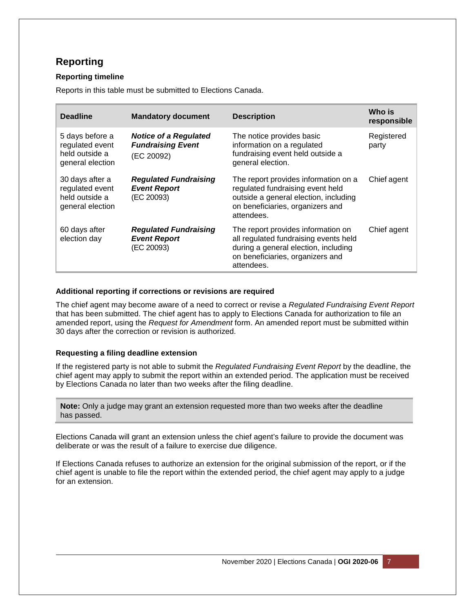## **Reporting**

#### **Reporting timeline**

Reports in this table must be submitted to Elections Canada.

| <b>Deadline</b>                                                          | <b>Mandatory document</b>                                              | <b>Description</b>                                                                                                                                                    | Who is<br>responsible |
|--------------------------------------------------------------------------|------------------------------------------------------------------------|-----------------------------------------------------------------------------------------------------------------------------------------------------------------------|-----------------------|
| 5 days before a<br>regulated event<br>held outside a<br>general election | <b>Notice of a Regulated</b><br><b>Fundraising Event</b><br>(EC 20092) | The notice provides basic<br>information on a regulated<br>fundraising event held outside a<br>general election.                                                      | Registered<br>party   |
| 30 days after a<br>regulated event<br>held outside a<br>general election | <b>Regulated Fundraising</b><br><b>Event Report</b><br>(EC 20093)      | The report provides information on a<br>regulated fundraising event held<br>outside a general election, including<br>on beneficiaries, organizers and<br>attendees.   | Chief agent           |
| 60 days after<br>election day                                            | <b>Regulated Fundraising</b><br><b>Event Report</b><br>(EC 20093)      | The report provides information on<br>all regulated fundraising events held<br>during a general election, including<br>on beneficiaries, organizers and<br>attendees. | Chief agent           |

#### **Additional reporting if corrections or revisions are required**

The chief agent may become aware of a need to correct or revise a *Regulated Fundraising Event Report* that has been submitted. The chief agent has to apply to Elections Canada for authorization to file an amended report, using the *Request for Amendment* form. An amended report must be submitted within 30 days after the correction or revision is authorized.

#### **Requesting a filing deadline extension**

If the registered party is not able to submit the *Regulated Fundraising Event Report* by the deadline, the chief agent may apply to submit the report within an extended period. The application must be received by Elections Canada no later than two weeks after the filing deadline.

**Note:** Only a judge may grant an extension requested more than two weeks after the deadline has passed.

Elections Canada will grant an extension unless the chief agent's failure to provide the document was deliberate or was the result of a failure to exercise due diligence.

If Elections Canada refuses to authorize an extension for the original submission of the report, or if the chief agent is unable to file the report within the extended period, the chief agent may apply to a judge for an extension.